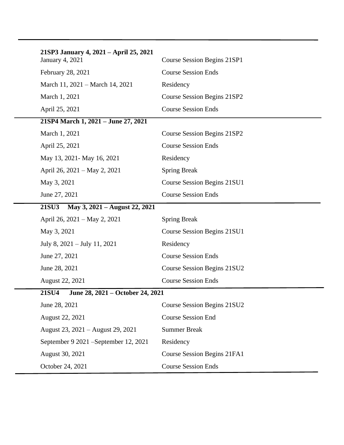| 21SP3 January 4, 2021 – April 25, 2021<br><b>January 4, 2021</b> | Course Session Begins 21SP1 |
|------------------------------------------------------------------|-----------------------------|
| February 28, 2021                                                | <b>Course Session Ends</b>  |
| March 11, 2021 – March 14, 2021                                  | Residency                   |
| March 1, 2021                                                    | Course Session Begins 21SP2 |
| April 25, 2021                                                   | <b>Course Session Ends</b>  |
| 21SP4 March 1, 2021 - June 27, 2021                              |                             |
| March 1, 2021                                                    | Course Session Begins 21SP2 |
| April 25, 2021                                                   | <b>Course Session Ends</b>  |
| May 13, 2021 - May 16, 2021                                      | Residency                   |
| April 26, 2021 – May 2, 2021                                     | <b>Spring Break</b>         |
| May 3, 2021                                                      | Course Session Begins 21SU1 |
| June 27, 2021                                                    | <b>Course Session Ends</b>  |
| <b>21SU3</b><br>May 3, 2021 – August 22, 2021                    |                             |
| April 26, 2021 – May 2, 2021                                     | <b>Spring Break</b>         |
| May 3, 2021                                                      | Course Session Begins 21SU1 |
| July 8, $2021 -$ July 11, $2021$                                 | Residency                   |
| June 27, 2021                                                    | <b>Course Session Ends</b>  |
| June 28, 2021                                                    | Course Session Begins 21SU2 |
| August 22, 2021                                                  | <b>Course Session Ends</b>  |
| <b>21SU4</b><br>June 28, 2021 – October 24, 2021                 |                             |
| June 28, 2021                                                    | Course Session Begins 21SU2 |
| August 22, 2021                                                  | <b>Course Session End</b>   |
| August 23, 2021 – August 29, 2021                                | <b>Summer Break</b>         |
| September 9 2021 – September 12, 2021                            | Residency                   |
| August 30, 2021                                                  | Course Session Begins 21FA1 |
| October 24, 2021                                                 | <b>Course Session Ends</b>  |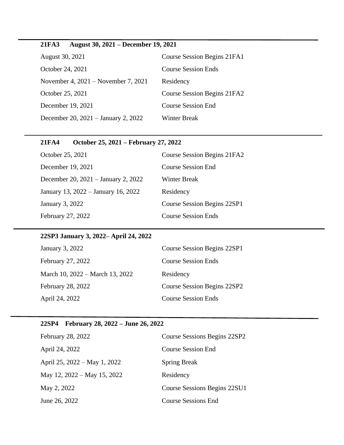# **21FA3 August 30, 2021 – December 19, 2021**

| August 30, 2021                       | Course Session Begins 21FA1 |
|---------------------------------------|-----------------------------|
| October 24, 2021                      | <b>Course Session Ends</b>  |
| November 4, $2021$ – November 7, 2021 | Residency                   |
| October 25, 2021                      | Course Session Begins 21FA2 |
| December 19, 2021                     | <b>Course Session End</b>   |
| December 20, 2021 – January 2, 2022   | Winter Break                |

#### **21FA4 October 25, 2021 – February 27, 2022**

| October 25, 2021                    | Course Session Begins 21FA2        |
|-------------------------------------|------------------------------------|
| December 19, 2021                   | <b>Course Session End</b>          |
| December 20, 2021 - January 2, 2022 | <b>Winter Break</b>                |
| January 13, 2022 – January 16, 2022 | Residency                          |
| January 3, 2022                     | <b>Course Session Begins 22SP1</b> |
| February 27, 2022                   | <b>Course Session Ends</b>         |

#### **22SP3 January 3, 2022– April 24, 2022**

| January 3, 2022                 | Course Session Begins 22SP1 |
|---------------------------------|-----------------------------|
| February 27, 2022               | <b>Course Session Ends</b>  |
| March 10, 2022 – March 13, 2022 | Residency                   |
| <b>February 28, 2022</b>        | Course Session Begins 22SP2 |
| April 24, 2022                  | <b>Course Session Ends</b>  |
|                                 |                             |

# **22SP4 February 28, 2022 – June 26, 2022**

| February 28, 2022            | Course Sessions Begins 22SP2 |
|------------------------------|------------------------------|
| April 24, 2022               | <b>Course Session End</b>    |
| April 25, 2022 – May 1, 2022 | <b>Spring Break</b>          |
| May 12, 2022 – May 15, 2022  | Residency                    |
| May 2, 2022                  | Course Sessions Begins 22SU1 |
| June 26, 2022                | <b>Course Sessions End</b>   |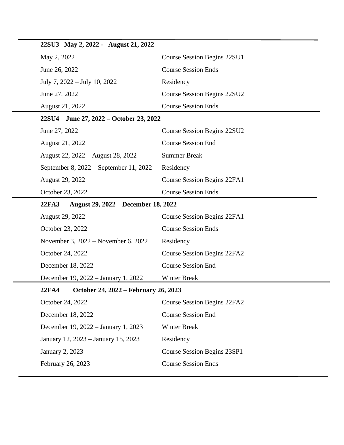| 22SU3 May 2, 2022 - August 21, 2022                        |                             |
|------------------------------------------------------------|-----------------------------|
| May 2, 2022                                                | Course Session Begins 22SU1 |
| June 26, 2022                                              | <b>Course Session Ends</b>  |
| July 7, 2022 – July 10, 2022                               | Residency                   |
| June 27, 2022                                              | Course Session Begins 22SU2 |
| August 21, 2022                                            | <b>Course Session Ends</b>  |
| June 27, 2022 – October 23, 2022<br><b>22SU4</b>           |                             |
| June 27, 2022                                              | Course Session Begins 22SU2 |
| August 21, 2022                                            | <b>Course Session End</b>   |
| August 22, 2022 – August 28, 2022                          | <b>Summer Break</b>         |
| September 8, 2022 – September 11, 2022                     | Residency                   |
| August 29, 2022                                            | Course Session Begins 22FA1 |
| October 23, 2022                                           | <b>Course Session Ends</b>  |
| <b>22FA3</b><br><b>August 29, 2022 – December 18, 2022</b> |                             |
| August 29, 2022                                            | Course Session Begins 22FA1 |
| October 23, 2022                                           | <b>Course Session Ends</b>  |
| November 3, 2022 – November 6, 2022                        | Residency                   |
| October 24, 2022                                           | Course Session Begins 22FA2 |
| December 18, 2022                                          | <b>Course Session End</b>   |
| December 19, 2022 – January 1, 2022                        | <b>Winter Break</b>         |
| 22FA4<br>October 24, 2022 – February 26, 2023              |                             |
| October 24, 2022                                           | Course Session Begins 22FA2 |
| December 18, 2022                                          | <b>Course Session End</b>   |
| December 19, 2022 – January 1, 2023                        | <b>Winter Break</b>         |
| January 12, 2023 – January 15, 2023                        | Residency                   |
| January 2, 2023                                            | Course Session Begins 23SP1 |
| February 26, 2023                                          | <b>Course Session Ends</b>  |
|                                                            |                             |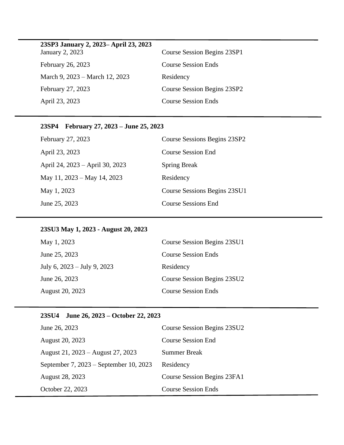| 23 SP3 January 2, 2023 - April 23, 2023 |                             |
|-----------------------------------------|-----------------------------|
| January 2, 2023                         | Course Session Begins 23SP1 |
| February 26, 2023                       | <b>Course Session Ends</b>  |
| March 9, 2023 – March 12, 2023          | Residency                   |
| February 27, 2023                       | Course Session Begins 23SP2 |
| April 23, 2023                          | <b>Course Session Ends</b>  |

# **23SP4 February 27, 2023 – June 25, 2023**

| February 27, 2023               | Course Sessions Begins 23SP2 |
|---------------------------------|------------------------------|
| April 23, 2023                  | Course Session End           |
| April 24, 2023 – April 30, 2023 | <b>Spring Break</b>          |
| May 11, 2023 – May 14, 2023     | Residency                    |
| May 1, 2023                     | Course Sessions Begins 23SU1 |
| June 25, 2023                   | <b>Course Sessions End</b>   |

#### **23SU3 May 1, 2023 - August 20, 2023**

| May 1, 2023                   | Course Session Begins 23SU1 |
|-------------------------------|-----------------------------|
| June 25, 2023                 | <b>Course Session Ends</b>  |
| July 6, $2023 -$ July 9, 2023 | Residency                   |
| June 26, 2023                 | Course Session Begins 23SU2 |
| August 20, 2023               | <b>Course Session Ends</b>  |

# **23SU4 June 26, 2023 – October 22, 2023**

| June 26, 2023                          | Course Session Begins 23SU2 |
|----------------------------------------|-----------------------------|
| August 20, 2023                        | <b>Course Session End</b>   |
| August 21, 2023 – August 27, 2023      | <b>Summer Break</b>         |
| September 7, 2023 – September 10, 2023 | Residency                   |
| August 28, 2023                        | Course Session Begins 23FA1 |
| October 22, 2023                       | <b>Course Session Ends</b>  |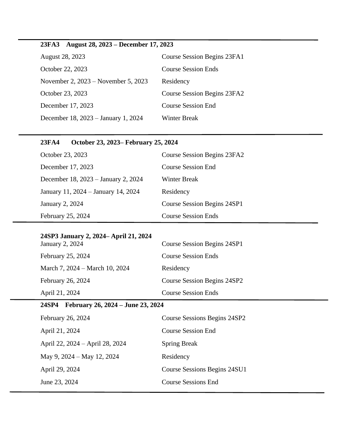# **23FA3 August 28, 2023 – December 17, 2023**

| August 28, 2023                     | Course Session Begins 23FA1 |
|-------------------------------------|-----------------------------|
| October 22, 2023                    | <b>Course Session Ends</b>  |
| November 2, 2023 – November 5, 2023 | Residency                   |
| October 23, 2023                    | Course Session Begins 23FA2 |
| December 17, 2023                   | <b>Course Session End</b>   |
| December 18, 2023 – January 1, 2024 | <b>Winter Break</b>         |

#### **23FA4 October 23, 2023– February 25, 2024**

| October 23, 2023                    | Course Session Begins 23FA2        |
|-------------------------------------|------------------------------------|
| December 17, 2023                   | Course Session End                 |
| December 18, 2023 – January 2, 2024 | Winter Break                       |
| January 11, 2024 – January 14, 2024 | Residency                          |
| January 2, 2024                     | <b>Course Session Begins 24SP1</b> |
| February 25, 2024                   | <b>Course Session Ends</b>         |

#### **24SP3 January 2, 2024– April 21, 2024**

| January 2, 2024                | Course Session Begins 24SP1 |
|--------------------------------|-----------------------------|
| February 25, 2024              | <b>Course Session Ends</b>  |
| March 7, 2024 – March 10, 2024 | Residency                   |
| February 26, 2024              | Course Session Begins 24SP2 |
| April 21, 2024                 | <b>Course Session Ends</b>  |

# **24SP4 February 26, 2024 – June 23, 2024**

| February 26, 2024               | Course Sessions Begins 24SP2 |
|---------------------------------|------------------------------|
| April 21, 2024                  | Course Session End           |
| April 22, 2024 – April 28, 2024 | <b>Spring Break</b>          |
| May 9, $2024 -$ May 12, 2024    | Residency                    |
| April 29, 2024                  | Course Sessions Begins 24SU1 |
| June 23, 2024                   | Course Sessions End          |